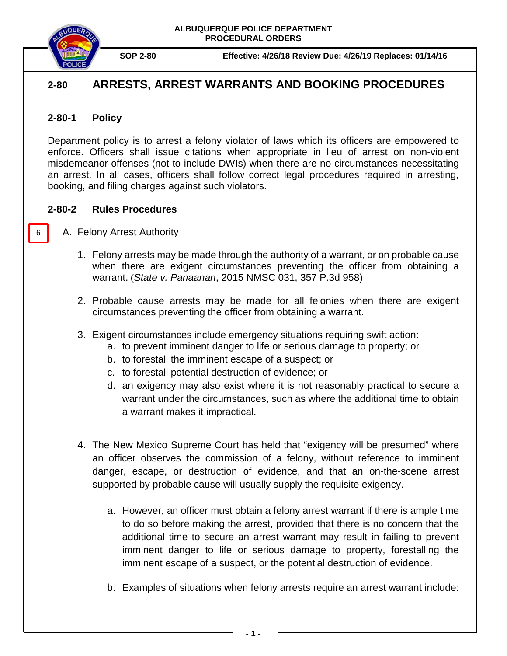

**SOP 2-80 Effective: 4/26/18 Review Due: 4/26/19 Replaces: 01/14/16**

# **2-80 ARRESTS, ARREST WARRANTS AND BOOKING PROCEDURES**

## **2-80-1 Policy**

6

Department policy is to arrest a felony violator of laws which its officers are empowered to enforce. Officers shall issue citations when appropriate in lieu of arrest on non-violent misdemeanor offenses (not to include DWIs) when there are no circumstances necessitating an arrest. In all cases, officers shall follow correct legal procedures required in arresting, booking, and filing charges against such violators.

## **2-80-2 Rules Procedures**

- A. Felony Arrest Authority
	- 1. Felony arrests may be made through the authority of a warrant, or on probable cause when there are exigent circumstances preventing the officer from obtaining a warrant. (*State v. Panaanan*, 2015 NMSC 031, 357 P.3d 958)
	- 2. Probable cause arrests may be made for all felonies when there are exigent circumstances preventing the officer from obtaining a warrant.
	- 3. Exigent circumstances include emergency situations requiring swift action:
		- a. to prevent imminent danger to life or serious damage to property; or
		- b. to forestall the imminent escape of a suspect; or
		- c. to forestall potential destruction of evidence; or
		- d. an exigency may also exist where it is not reasonably practical to secure a warrant under the circumstances, such as where the additional time to obtain a warrant makes it impractical.
	- 4. The New Mexico Supreme Court has held that "exigency will be presumed" where an officer observes the commission of a felony, without reference to imminent danger, escape, or destruction of evidence, and that an on-the-scene arrest supported by probable cause will usually supply the requisite exigency.
		- a. However, an officer must obtain a felony arrest warrant if there is ample time to do so before making the arrest, provided that there is no concern that the additional time to secure an arrest warrant may result in failing to prevent imminent danger to life or serious damage to property, forestalling the imminent escape of a suspect, or the potential destruction of evidence.
		- b. Examples of situations when felony arrests require an arrest warrant include: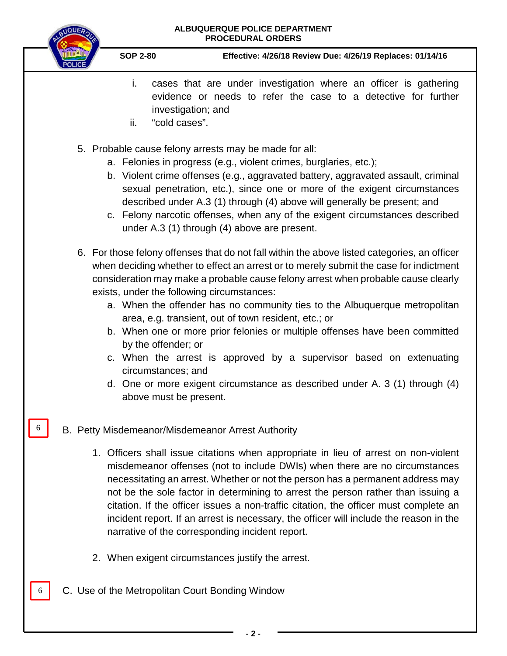

Ĺ

6

6

**SOP 2-80 Effective: 4/26/18 Review Due: 4/26/19 Replaces: 01/14/16**

- i. cases that are under investigation where an officer is gathering evidence or needs to refer the case to a detective for further investigation; and
- ii. "cold cases".
- 5. Probable cause felony arrests may be made for all:
	- a. Felonies in progress (e.g., violent crimes, burglaries, etc.);
	- b. Violent crime offenses (e.g., aggravated battery, aggravated assault, criminal sexual penetration, etc.), since one or more of the exigent circumstances described under A.3 (1) through (4) above will generally be present; and
	- c. Felony narcotic offenses, when any of the exigent circumstances described under A.3 (1) through (4) above are present.
- 6. For those felony offenses that do not fall within the above listed categories, an officer when deciding whether to effect an arrest or to merely submit the case for indictment consideration may make a probable cause felony arrest when probable cause clearly exists, under the following circumstances:
	- a. When the offender has no community ties to the Albuquerque metropolitan area, e.g. transient, out of town resident, etc.; or
	- b. When one or more prior felonies or multiple offenses have been committed by the offender; or
	- c. When the arrest is approved by a supervisor based on extenuating circumstances; and
	- d. One or more exigent circumstance as described under A. 3 (1) through (4) above must be present.

## B. Petty Misdemeanor/Misdemeanor Arrest Authority

- 1. Officers shall issue citations when appropriate in lieu of arrest on non-violent misdemeanor offenses (not to include DWIs) when there are no circumstances necessitating an arrest. Whether or not the person has a permanent address may not be the sole factor in determining to arrest the person rather than issuing a citation. If the officer issues a non-traffic citation, the officer must complete an incident report. If an arrest is necessary, the officer will include the reason in the narrative of the corresponding incident report.
- 2. When exigent circumstances justify the arrest.
- C. Use of the Metropolitan Court Bonding Window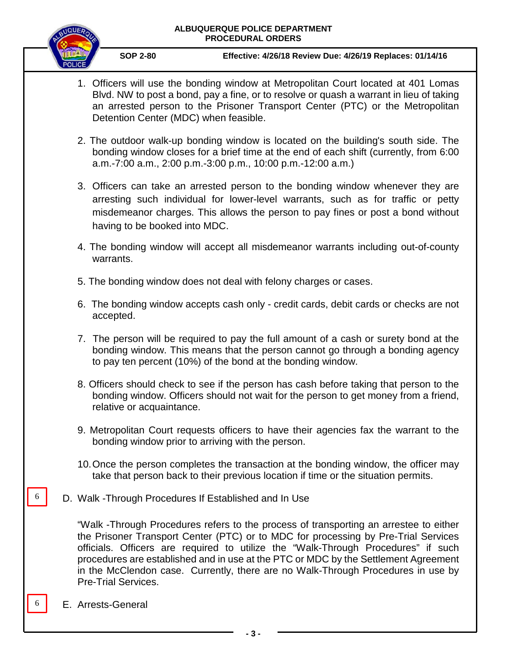

**SOP 2-80 Effective: 4/26/18 Review Due: 4/26/19 Replaces: 01/14/16**

- 1. Officers will use the bonding window at Metropolitan Court located at 401 Lomas Blvd. NW to post a bond, pay a fine, or to resolve or quash a warrant in lieu of taking an arrested person to the Prisoner Transport Center (PTC) or the Metropolitan Detention Center (MDC) when feasible.
- 2. The outdoor walk-up bonding window is located on the building's south side. The bonding window closes for a brief time at the end of each shift (currently, from 6:00 a.m.-7:00 a.m., 2:00 p.m.-3:00 p.m., 10:00 p.m.-12:00 a.m.)
- 3. Officers can take an arrested person to the bonding window whenever they are arresting such individual for lower-level warrants, such as for traffic or petty misdemeanor charges. This allows the person to pay fines or post a bond without having to be booked into MDC.
- 4. The bonding window will accept all misdemeanor warrants including out-of-county warrants.
- 5. The bonding window does not deal with felony charges or cases.
- 6. The bonding window accepts cash only credit cards, debit cards or checks are not accepted.
- 7. The person will be required to pay the full amount of a cash or surety bond at the bonding window. This means that the person cannot go through a bonding agency to pay ten percent (10%) of the bond at the bonding window.
- 8. Officers should check to see if the person has cash before taking that person to the bonding window. Officers should not wait for the person to get money from a friend, relative or acquaintance.
- 9. Metropolitan Court requests officers to have their agencies fax the warrant to the bonding window prior to arriving with the person.
- 10.Once the person completes the transaction at the bonding window, the officer may take that person back to their previous location if time or the situation permits.
- D. Walk -Through Procedures If Established and In Use

"Walk -Through Procedures refers to the process of transporting an arrestee to either the Prisoner Transport Center (PTC) or to MDC for processing by Pre-Trial Services officials. Officers are required to utilize the "Walk-Through Procedures" if such procedures are established and in use at the PTC or MDC by the Settlement Agreement in the McClendon case. Currently, there are no Walk-Through Procedures in use by Pre-Trial Services.

E. Arrests-General

6

6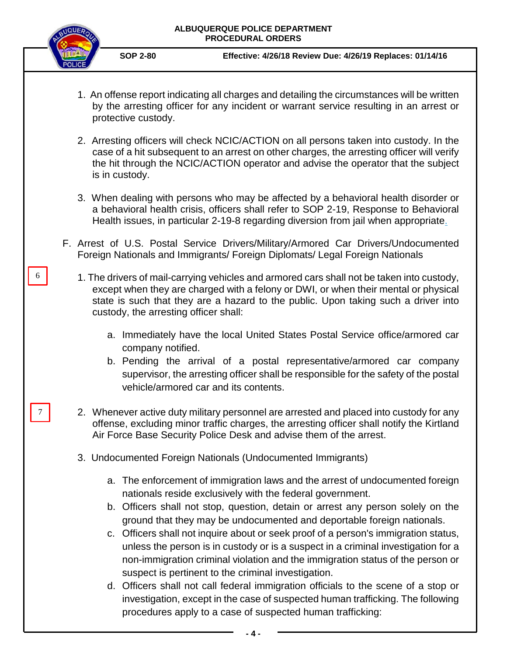

6

7

- 1. An offense report indicating all charges and detailing the circumstances will be written by the arresting officer for any incident or warrant service resulting in an arrest or protective custody.
- 2. Arresting officers will check NCIC/ACTION on all persons taken into custody. In the case of a hit subsequent to an arrest on other charges, the arresting officer will verify the hit through the NCIC/ACTION operator and advise the operator that the subject is in custody.
- 3. When dealing with persons who may be affected by a behavioral health disorder or a behavioral health crisis, officers shall refer to [SOP 2-19, Response to Behavioral](https://powerdms.com/docs/96?q=2-19)  [Health issues,](https://powerdms.com/docs/96?q=2-19) in particular 2-19-8 regarding diversion from jail when appropriate.
- F. Arrest of U.S. Postal Service Drivers/Military/Armored Car Drivers/Undocumented Foreign Nationals and Immigrants/ Foreign Diplomats/ Legal Foreign Nationals
	- 1. The drivers of mail-carrying vehicles and armored cars shall not be taken into custody, except when they are charged with a felony or DWI, or when their mental or physical state is such that they are a hazard to the public. Upon taking such a driver into custody, the arresting officer shall:
		- a. Immediately have the local United States Postal Service office/armored car company notified.
		- b. Pending the arrival of a postal representative/armored car company supervisor, the arresting officer shall be responsible for the safety of the postal vehicle/armored car and its contents.
		- 2. Whenever active duty military personnel are arrested and placed into custody for any offense, excluding minor traffic charges, the arresting officer shall notify the Kirtland Air Force Base Security Police Desk and advise them of the arrest.
		- 3. Undocumented Foreign Nationals (Undocumented Immigrants)
			- a. The enforcement of immigration laws and the arrest of undocumented foreign nationals reside exclusively with the federal government.
			- b. Officers shall not stop, question, detain or arrest any person solely on the ground that they may be undocumented and deportable foreign nationals.
			- c. Officers shall not inquire about or seek proof of a person's immigration status, unless the person is in custody or is a suspect in a criminal investigation for a non-immigration criminal violation and the immigration status of the person or suspect is pertinent to the criminal investigation.
			- d. Officers shall not call federal immigration officials to the scene of a stop or investigation, except in the case of suspected human trafficking. The following procedures apply to a case of suspected human trafficking: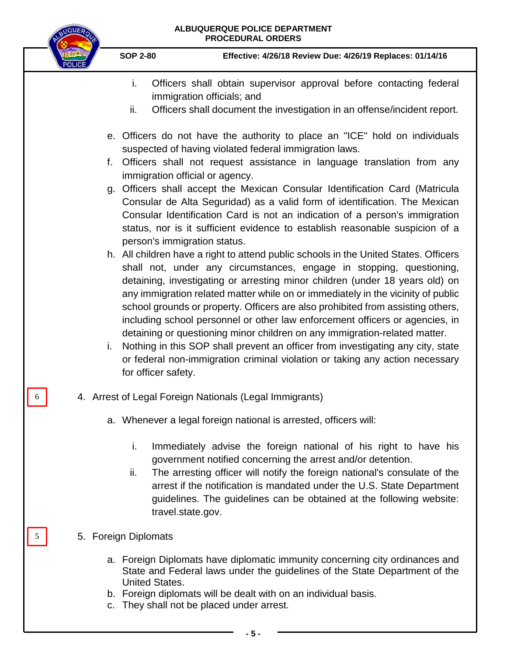| BUQUER   | ALBUQUERQUE POLICE DEPARTMENT<br><b>PROCEDURAL ORDERS</b>                              |                                                                                                                                                                                                                                                                                                                                                                                                                                                                                                                                                                                                                                                                                                                                                                                                                                                                                                                                                                                                                                                                                                                                                                                                                                                                                                      |  |  |  |
|----------|----------------------------------------------------------------------------------------|------------------------------------------------------------------------------------------------------------------------------------------------------------------------------------------------------------------------------------------------------------------------------------------------------------------------------------------------------------------------------------------------------------------------------------------------------------------------------------------------------------------------------------------------------------------------------------------------------------------------------------------------------------------------------------------------------------------------------------------------------------------------------------------------------------------------------------------------------------------------------------------------------------------------------------------------------------------------------------------------------------------------------------------------------------------------------------------------------------------------------------------------------------------------------------------------------------------------------------------------------------------------------------------------------|--|--|--|
|          | <b>SOP 2-80</b>                                                                        | Effective: 4/26/18 Review Due: 4/26/19 Replaces: 01/14/16                                                                                                                                                                                                                                                                                                                                                                                                                                                                                                                                                                                                                                                                                                                                                                                                                                                                                                                                                                                                                                                                                                                                                                                                                                            |  |  |  |
|          | i.<br>immigration officials; and<br>ii.                                                | Officers shall obtain supervisor approval before contacting federal<br>Officers shall document the investigation in an offense/incident report.                                                                                                                                                                                                                                                                                                                                                                                                                                                                                                                                                                                                                                                                                                                                                                                                                                                                                                                                                                                                                                                                                                                                                      |  |  |  |
| f.<br>i. | immigration official or agency.<br>person's immigration status.<br>for officer safety. | e. Officers do not have the authority to place an "ICE" hold on individuals<br>suspected of having violated federal immigration laws.<br>Officers shall not request assistance in language translation from any<br>g. Officers shall accept the Mexican Consular Identification Card (Matricula<br>Consular de Alta Seguridad) as a valid form of identification. The Mexican<br>Consular Identification Card is not an indication of a person's immigration<br>status, nor is it sufficient evidence to establish reasonable suspicion of a<br>h. All children have a right to attend public schools in the United States. Officers<br>shall not, under any circumstances, engage in stopping, questioning,<br>detaining, investigating or arresting minor children (under 18 years old) on<br>any immigration related matter while on or immediately in the vicinity of public<br>school grounds or property. Officers are also prohibited from assisting others,<br>including school personnel or other law enforcement officers or agencies, in<br>detaining or questioning minor children on any immigration-related matter.<br>Nothing in this SOP shall prevent an officer from investigating any city, state<br>or federal non-immigration criminal violation or taking any action necessary |  |  |  |
|          |                                                                                        | 4. Arrest of Legal Foreign Nationals (Legal Immigrants)                                                                                                                                                                                                                                                                                                                                                                                                                                                                                                                                                                                                                                                                                                                                                                                                                                                                                                                                                                                                                                                                                                                                                                                                                                              |  |  |  |
|          | i.<br>ii.<br>travel.state.gov.                                                         | a. Whenever a legal foreign national is arrested, officers will:<br>Immediately advise the foreign national of his right to have his<br>government notified concerning the arrest and/or detention.<br>The arresting officer will notify the foreign national's consulate of the<br>arrest if the notification is mandated under the U.S. State Department<br>guidelines. The guidelines can be obtained at the following website:                                                                                                                                                                                                                                                                                                                                                                                                                                                                                                                                                                                                                                                                                                                                                                                                                                                                   |  |  |  |
| 5        | 5. Foreign Diplomats                                                                   |                                                                                                                                                                                                                                                                                                                                                                                                                                                                                                                                                                                                                                                                                                                                                                                                                                                                                                                                                                                                                                                                                                                                                                                                                                                                                                      |  |  |  |
|          | <b>United States.</b><br>c. They shall not be placed under arrest.                     | a. Foreign Diplomats have diplomatic immunity concerning city ordinances and<br>State and Federal laws under the guidelines of the State Department of the<br>b. Foreign diplomats will be dealt with on an individual basis.                                                                                                                                                                                                                                                                                                                                                                                                                                                                                                                                                                                                                                                                                                                                                                                                                                                                                                                                                                                                                                                                        |  |  |  |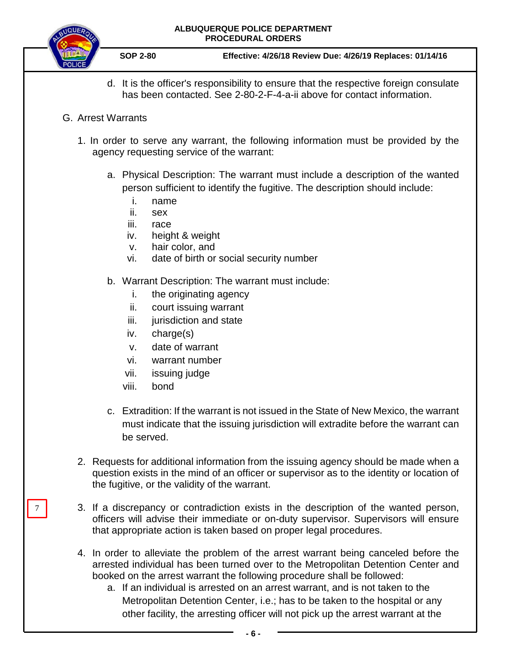

7

- d. It is the officer's responsibility to ensure that the respective foreign consulate has been contacted. See 2-80-2-F-4-a-ii above for contact information.
- G. Arrest Warrants
	- 1. In order to serve any warrant, the following information must be provided by the agency requesting service of the warrant:
		- a. Physical Description: The warrant must include a description of the wanted person sufficient to identify the fugitive. The description should include:
			- i. name
			- ii. sex
			- iii. race
			- iv. height & weight
			- v. hair color, and
			- vi. date of birth or social security number
		- b. Warrant Description: The warrant must include:
			- i. the originating agency
			- ii. court issuing warrant
			- iii. jurisdiction and state
			- iv. charge(s)
			- v. date of warrant
			- vi. warrant number
			- vii. issuing judge
			- viii. bond
		- c. Extradition: If the warrant is not issued in the State of New Mexico, the warrant must indicate that the issuing jurisdiction will extradite before the warrant can be served.
	- 2. Requests for additional information from the issuing agency should be made when a question exists in the mind of an officer or supervisor as to the identity or location of the fugitive, or the validity of the warrant.
	- 3. If a discrepancy or contradiction exists in the description of the wanted person, officers will advise their immediate or on-duty supervisor. Supervisors will ensure that appropriate action is taken based on proper legal procedures.
	- 4. In order to alleviate the problem of the arrest warrant being canceled before the arrested individual has been turned over to the Metropolitan Detention Center and booked on the arrest warrant the following procedure shall be followed:
		- a. If an individual is arrested on an arrest warrant, and is not taken to the Metropolitan Detention Center, i.e.; has to be taken to the hospital or any other facility, the arresting officer will not pick up the arrest warrant at the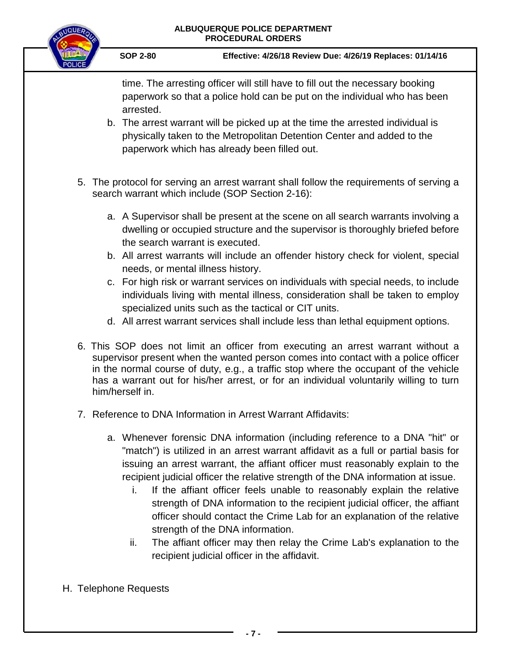

**SOP 2-80 Effective: 4/26/18 Review Due: 4/26/19 Replaces: 01/14/16**

time. The arresting officer will still have to fill out the necessary booking paperwork so that a police hold can be put on the individual who has been arrested.

- b. The arrest warrant will be picked up at the time the arrested individual is physically taken to the Metropolitan Detention Center and added to the paperwork which has already been filled out.
- 5. The protocol for serving an arrest warrant shall follow the requirements of serving a search warrant which include (SOP Section 2-16):
	- a. A Supervisor shall be present at the scene on all search warrants involving a dwelling or occupied structure and the supervisor is thoroughly briefed before the search warrant is executed.
	- b. All arrest warrants will include an offender history check for violent, special needs, or mental illness history.
	- c. For high risk or warrant services on individuals with special needs, to include individuals living with mental illness, consideration shall be taken to employ specialized units such as the tactical or CIT units.
	- d. All arrest warrant services shall include less than lethal equipment options.
- 6. This SOP does not limit an officer from executing an arrest warrant without a supervisor present when the wanted person comes into contact with a police officer in the normal course of duty, e.g., a traffic stop where the occupant of the vehicle has a warrant out for his/her arrest, or for an individual voluntarily willing to turn him/herself in.
- 7. Reference to DNA Information in Arrest Warrant Affidavits:
	- a. Whenever forensic DNA information (including reference to a DNA "hit" or "match") is utilized in an arrest warrant affidavit as a full or partial basis for issuing an arrest warrant, the affiant officer must reasonably explain to the recipient judicial officer the relative strength of the DNA information at issue.
		- i. If the affiant officer feels unable to reasonably explain the relative strength of DNA information to the recipient judicial officer, the affiant officer should contact the Crime Lab for an explanation of the relative strength of the DNA information.
		- ii. The affiant officer may then relay the Crime Lab's explanation to the recipient judicial officer in the affidavit.
- H. Telephone Requests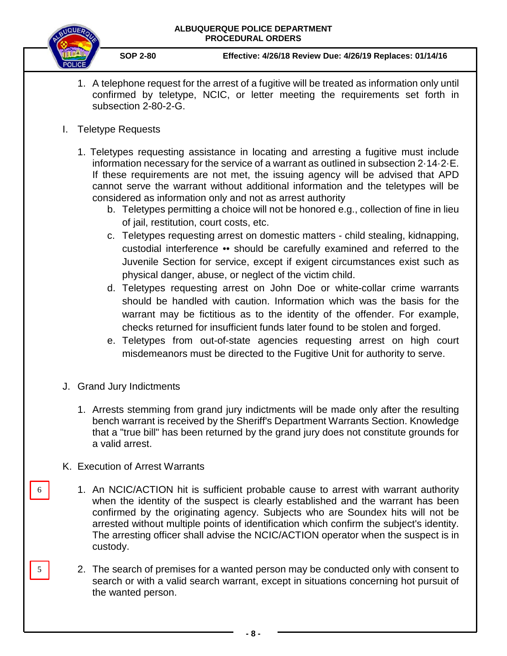

- 1. A telephone request for the arrest of a fugitive will be treated as information only until confirmed by teletype, NCIC, or letter meeting the requirements set forth in subsection 2-80-2-G.
- I. Teletype Requests
	- 1. Teletypes requesting assistance in locating and arresting a fugitive must include information necessary for the service of a warrant as outlined in subsection 2·14·2·E. If these requirements are not met, the issuing agency will be advised that APD cannot serve the warrant without additional information and the teletypes will be considered as information only and not as arrest authority
		- b. Teletypes permitting a choice will not be honored e.g., collection of fine in lieu of jail, restitution, court costs, etc.
		- c. Teletypes requesting arrest on domestic matters child stealing, kidnapping, custodial interference •• should be carefully examined and referred to the Juvenile Section for service, except if exigent circumstances exist such as physical danger, abuse, or neglect of the victim child.
		- d. Teletypes requesting arrest on John Doe or white-collar crime warrants should be handled with caution. Information which was the basis for the warrant may be fictitious as to the identity of the offender. For example, checks returned for insufficient funds later found to be stolen and forged.
		- e. Teletypes from out-of-state agencies requesting arrest on high court misdemeanors must be directed to the Fugitive Unit for authority to serve.
- J. Grand Jury Indictments
	- 1. Arrests stemming from grand jury indictments will be made only after the resulting bench warrant is received by the Sheriff's Department Warrants Section. Knowledge that a "true bill" has been returned by the grand jury does not constitute grounds for a valid arrest.
- K. Execution of Arrest Warrants

6

5

- 1. An NCIC/ACTION hit is sufficient probable cause to arrest with warrant authority when the identity of the suspect is clearly established and the warrant has been confirmed by the originating agency. Subjects who are Soundex hits will not be arrested without multiple points of identification which confirm the subject's identity. The arresting officer shall advise the NCIC/ACTION operator when the suspect is in custody.
- 2. The search of premises for a wanted person may be conducted only with consent to search or with a valid search warrant, except in situations concerning hot pursuit of the wanted person.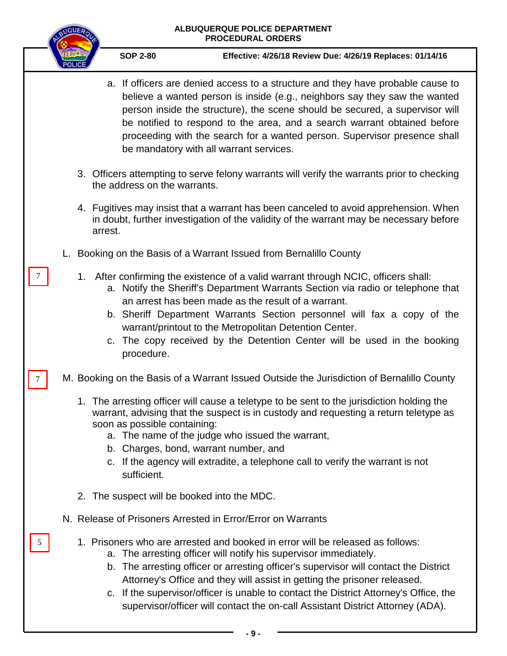|   | <b>MQUE</b> |         |                                             | ALBUQUERQUE POLICE DEPARTMENT<br><b>PROCEDURAL ORDERS</b>                                                                                                                                                                                                                                                                                                                                                                                                                                         |
|---|-------------|---------|---------------------------------------------|---------------------------------------------------------------------------------------------------------------------------------------------------------------------------------------------------------------------------------------------------------------------------------------------------------------------------------------------------------------------------------------------------------------------------------------------------------------------------------------------------|
|   |             |         | <b>SOP 2-80</b>                             | Effective: 4/26/18 Review Due: 4/26/19 Replaces: 01/14/16                                                                                                                                                                                                                                                                                                                                                                                                                                         |
|   |             |         |                                             | a. If officers are denied access to a structure and they have probable cause to<br>believe a wanted person is inside (e.g., neighbors say they saw the wanted<br>person inside the structure), the scene should be secured, a supervisor will<br>be notified to respond to the area, and a search warrant obtained before<br>proceeding with the search for a wanted person. Supervisor presence shall<br>be mandatory with all warrant services.                                                 |
|   |             |         | the address on the warrants.                | 3. Officers attempting to serve felony warrants will verify the warrants prior to checking                                                                                                                                                                                                                                                                                                                                                                                                        |
|   |             | arrest. |                                             | 4. Fugitives may insist that a warrant has been canceled to avoid apprehension. When<br>in doubt, further investigation of the validity of the warrant may be necessary before                                                                                                                                                                                                                                                                                                                    |
|   |             |         |                                             | L. Booking on the Basis of a Warrant Issued from Bernalillo County                                                                                                                                                                                                                                                                                                                                                                                                                                |
| 7 |             |         | procedure.                                  | 1. After confirming the existence of a valid warrant through NCIC, officers shall:<br>a. Notify the Sheriff's Department Warrants Section via radio or telephone that<br>an arrest has been made as the result of a warrant.<br>b. Sheriff Department Warrants Section personnel will fax a copy of the<br>warrant/printout to the Metropolitan Detention Center.<br>c. The copy received by the Detention Center will be used in the booking                                                     |
|   |             |         |                                             | M. Booking on the Basis of a Warrant Issued Outside the Jurisdiction of Bernalillo County                                                                                                                                                                                                                                                                                                                                                                                                         |
|   |             |         | soon as possible containing:<br>sufficient. | 1. The arresting officer will cause a teletype to be sent to the jurisdiction holding the<br>warrant, advising that the suspect is in custody and requesting a return teletype as<br>a. The name of the judge who issued the warrant,<br>b. Charges, bond, warrant number, and<br>c. If the agency will extradite, a telephone call to verify the warrant is not                                                                                                                                  |
|   |             |         |                                             | 2. The suspect will be booked into the MDC.                                                                                                                                                                                                                                                                                                                                                                                                                                                       |
|   |             |         |                                             | N. Release of Prisoners Arrested in Error/Error on Warrants                                                                                                                                                                                                                                                                                                                                                                                                                                       |
|   |             |         |                                             | 1. Prisoners who are arrested and booked in error will be released as follows:<br>a. The arresting officer will notify his supervisor immediately.<br>b. The arresting officer or arresting officer's supervisor will contact the District<br>Attorney's Office and they will assist in getting the prisoner released.<br>c. If the supervisor/officer is unable to contact the District Attorney's Office, the<br>supervisor/officer will contact the on-call Assistant District Attorney (ADA). |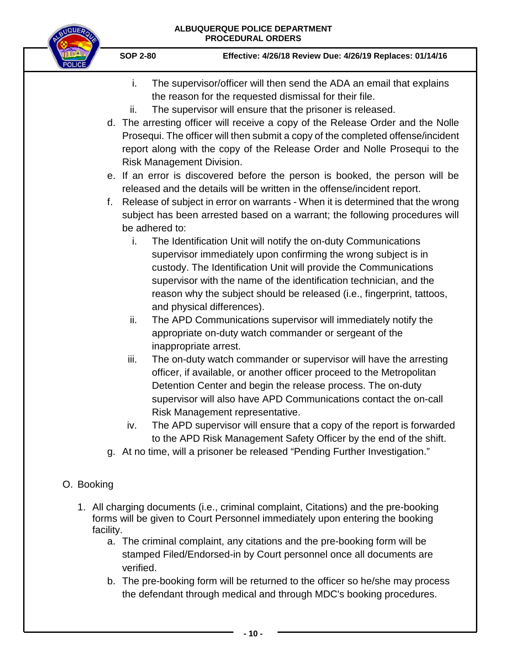

**SOP 2-80 Effective: 4/26/18 Review Due: 4/26/19 Replaces: 01/14/16**

- i. The supervisor/officer will then send the ADA an email that explains the reason for the requested dismissal for their file.
- ii. The supervisor will ensure that the prisoner is released.
- d. The arresting officer will receive a copy of the Release Order and the Nolle Prosequi. The officer will then submit a copy of the completed offense/incident report along with the copy of the Release Order and Nolle Prosequi to the Risk Management Division.
- e. If an error is discovered before the person is booked, the person will be released and the details will be written in the offense/incident report.
- f. Release of subject in error on warrants When it is determined that the wrong subject has been arrested based on a warrant; the following procedures will be adhered to:
	- i. The Identification Unit will notify the on-duty Communications supervisor immediately upon confirming the wrong subject is in custody. The Identification Unit will provide the Communications supervisor with the name of the identification technician, and the reason why the subject should be released (i.e., fingerprint, tattoos, and physical differences).
	- ii. The APD Communications supervisor will immediately notify the appropriate on-duty watch commander or sergeant of the inappropriate arrest.
	- iii. The on-duty watch commander or supervisor will have the arresting officer, if available, or another officer proceed to the Metropolitan Detention Center and begin the release process. The on-duty supervisor will also have APD Communications contact the on-call Risk Management representative.
	- iv. The APD supervisor will ensure that a copy of the report is forwarded to the APD Risk Management Safety Officer by the end of the shift.
- g. At no time, will a prisoner be released "Pending Further Investigation."

## O. Booking

- 1. All charging documents (i.e., criminal complaint, Citations) and the pre-booking forms will be given to Court Personnel immediately upon entering the booking facility.
	- a. The criminal complaint, any citations and the pre-booking form will be stamped Filed/Endorsed-in by Court personnel once all documents are verified.
	- b. The pre-booking form will be returned to the officer so he/she may process the defendant through medical and through MDC's booking procedures.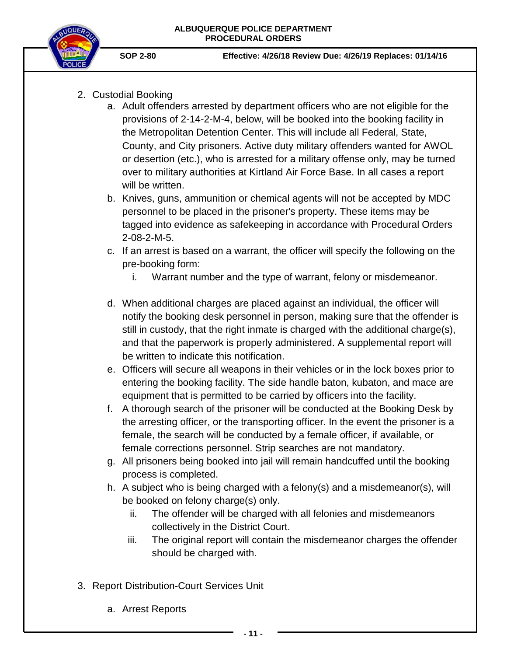

- 2. Custodial Booking
	- a. Adult offenders arrested by department officers who are not eligible for the provisions of 2-14-2-M-4, below, will be booked into the booking facility in the Metropolitan Detention Center. This will include all Federal, State, County, and City prisoners. Active duty military offenders wanted for AWOL or desertion (etc.), who is arrested for a military offense only, may be turned over to military authorities at Kirtland Air Force Base. In all cases a report will be written.
	- b. Knives, guns, ammunition or chemical agents will not be accepted by MDC personnel to be placed in the prisoner's property. These items may be tagged into evidence as safekeeping in accordance with Procedural Orders 2-08-2-M-5.
	- c. If an arrest is based on a warrant, the officer will specify the following on the pre-booking form:
		- i. Warrant number and the type of warrant, felony or misdemeanor.
	- d. When additional charges are placed against an individual, the officer will notify the booking desk personnel in person, making sure that the offender is still in custody, that the right inmate is charged with the additional charge(s), and that the paperwork is properly administered. A supplemental report will be written to indicate this notification.
	- e. Officers will secure all weapons in their vehicles or in the lock boxes prior to entering the booking facility. The side handle baton, kubaton, and mace are equipment that is permitted to be carried by officers into the facility.
	- f. A thorough search of the prisoner will be conducted at the Booking Desk by the arresting officer, or the transporting officer. In the event the prisoner is a female, the search will be conducted by a female officer, if available, or female corrections personnel. Strip searches are not mandatory.
	- g. All prisoners being booked into jail will remain handcuffed until the booking process is completed.
	- h. A subject who is being charged with a felony(s) and a misdemeanor(s), will be booked on felony charge(s) only.
		- ii. The offender will be charged with all felonies and misdemeanors collectively in the District Court.
		- iii. The original report will contain the misdemeanor charges the offender should be charged with.
- 3. Report Distribution-Court Services Unit
	- a. Arrest Reports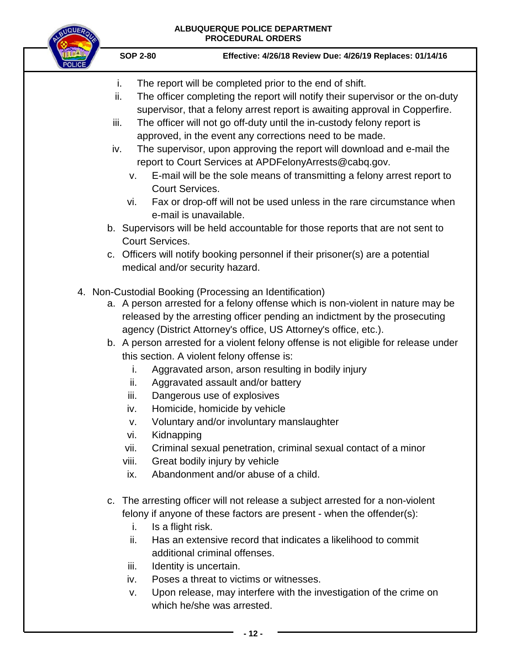# **ALBUQUERQUE POLICE DEPARTMENT**

| <b>UQUEA</b> | ALBUQUERQUE POLICE DEPARTMENT<br><b>PROCEDURAL ORDERS</b>                          |                                                                                                                                                                                                                                                                                                                                                                                                                                                                                                                                                                                                                                                                                                                                                                                                                                                    |  |  |  |
|--------------|------------------------------------------------------------------------------------|----------------------------------------------------------------------------------------------------------------------------------------------------------------------------------------------------------------------------------------------------------------------------------------------------------------------------------------------------------------------------------------------------------------------------------------------------------------------------------------------------------------------------------------------------------------------------------------------------------------------------------------------------------------------------------------------------------------------------------------------------------------------------------------------------------------------------------------------------|--|--|--|
|              | <b>SOP 2-80</b>                                                                    | Effective: 4/26/18 Review Due: 4/26/19 Replaces: 01/14/16                                                                                                                                                                                                                                                                                                                                                                                                                                                                                                                                                                                                                                                                                                                                                                                          |  |  |  |
|              | i.<br>ii.<br>iii.<br>iv.<br>V.<br><b>Court Services.</b><br>vi.<br>Court Services. | The report will be completed prior to the end of shift.<br>The officer completing the report will notify their supervisor or the on-duty<br>supervisor, that a felony arrest report is awaiting approval in Copperfire.<br>The officer will not go off-duty until the in-custody felony report is<br>approved, in the event any corrections need to be made.<br>The supervisor, upon approving the report will download and e-mail the<br>report to Court Services at APDFelonyArrests@cabq.gov.<br>E-mail will be the sole means of transmitting a felony arrest report to<br>Fax or drop-off will not be used unless in the rare circumstance when<br>e-mail is unavailable.<br>b. Supervisors will be held accountable for those reports that are not sent to<br>c. Officers will notify booking personnel if their prisoner(s) are a potential |  |  |  |
|              | İ.<br>ii.<br>iii.<br>iv.<br>V.<br>vi.<br>Kidnapping<br>vii.                        | medical and/or security hazard.<br>4. Non-Custodial Booking (Processing an Identification)<br>a. A person arrested for a felony offense which is non-violent in nature may be<br>released by the arresting officer pending an indictment by the prosecuting<br>agency (District Attorney's office, US Attorney's office, etc.).<br>b. A person arrested for a violent felony offense is not eligible for release under<br>this section. A violent felony offense is:<br>Aggravated arson, arson resulting in bodily injury<br>Aggravated assault and/or battery<br>Dangerous use of explosives<br>Homicide, homicide by vehicle<br>Voluntary and/or involuntary manslaughter<br>Criminal sexual penetration, criminal sexual contact of a minor                                                                                                    |  |  |  |
|              | viii.<br>ix.                                                                       | Great bodily injury by vehicle<br>Abandonment and/or abuse of a child.                                                                                                                                                                                                                                                                                                                                                                                                                                                                                                                                                                                                                                                                                                                                                                             |  |  |  |
|              | Is a flight risk.<br>i.<br>ii.<br>iii.<br>iv.<br>v.                                | c. The arresting officer will not release a subject arrested for a non-violent<br>felony if anyone of these factors are present - when the offender(s):<br>Has an extensive record that indicates a likelihood to commit<br>additional criminal offenses.<br>Identity is uncertain.<br>Poses a threat to victims or witnesses.<br>Upon release, may interfere with the investigation of the crime on<br>which he/she was arrested.                                                                                                                                                                                                                                                                                                                                                                                                                 |  |  |  |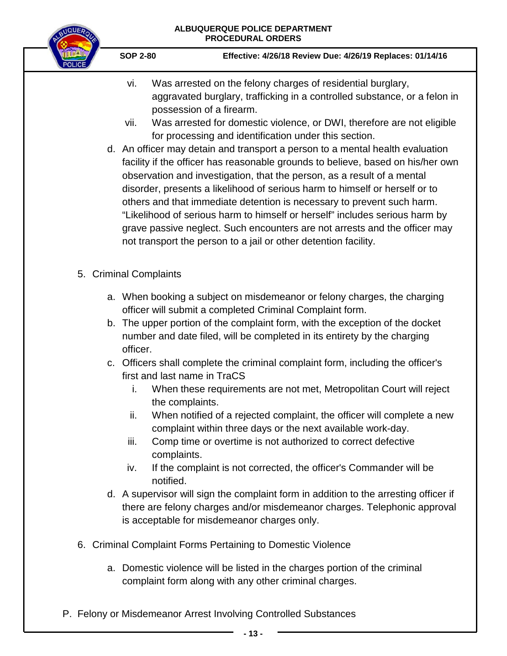

- vi. Was arrested on the felony charges of residential burglary, aggravated burglary, trafficking in a controlled substance, or a felon in possession of a firearm.
- vii. Was arrested for domestic violence, or DWI, therefore are not eligible for processing and identification under this section.
- d. An officer may detain and transport a person to a mental health evaluation facility if the officer has reasonable grounds to believe, based on his/her own observation and investigation, that the person, as a result of a mental disorder, presents a likelihood of serious harm to himself or herself or to others and that immediate detention is necessary to prevent such harm. "Likelihood of serious harm to himself or herself" includes serious harm by grave passive neglect. Such encounters are not arrests and the officer may not transport the person to a jail or other detention facility.
- 5. Criminal Complaints
	- a. When booking a subject on misdemeanor or felony charges, the charging officer will submit a completed Criminal Complaint form.
	- b. The upper portion of the complaint form, with the exception of the docket number and date filed, will be completed in its entirety by the charging officer.
	- c. Officers shall complete the criminal complaint form, including the officer's first and last name in TraCS
		- i. When these requirements are not met, Metropolitan Court will reject the complaints.
		- ii. When notified of a rejected complaint, the officer will complete a new complaint within three days or the next available work-day.
		- iii. Comp time or overtime is not authorized to correct defective complaints.
		- iv. If the complaint is not corrected, the officer's Commander will be notified.
	- d. A supervisor will sign the complaint form in addition to the arresting officer if there are felony charges and/or misdemeanor charges. Telephonic approval is acceptable for misdemeanor charges only.
- 6. Criminal Complaint Forms Pertaining to Domestic Violence
	- a. Domestic violence will be listed in the charges portion of the criminal complaint form along with any other criminal charges.
- P. Felony or Misdemeanor Arrest Involving Controlled Substances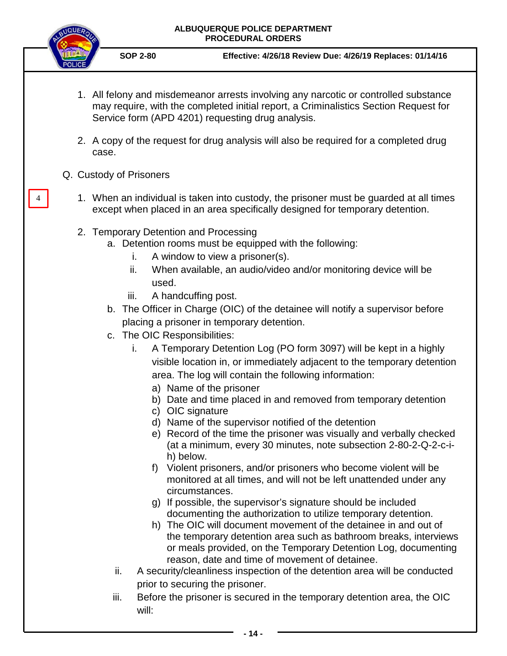

4

**SOP 2-80 Effective: 4/26/18 Review Due: 4/26/19 Replaces: 01/14/16**

- 1. All felony and misdemeanor arrests involving any narcotic or controlled substance may require, with the completed initial report, a Criminalistics Section Request for Service form (APD 4201) requesting drug analysis.
- 2. A copy of the request for drug analysis will also be required for a completed drug case.
- Q. Custody of Prisoners
	- 1. When an individual is taken into custody, the prisoner must be guarded at all times except when placed in an area specifically designed for temporary detention.
	- 2. Temporary Detention and Processing
		- a. Detention rooms must be equipped with the following:
			- i. A window to view a prisoner(s).
			- ii. When available, an audio/video and/or monitoring device will be used.
			- iii. A handcuffing post.
		- b. The Officer in Charge (OIC) of the detainee will notify a supervisor before placing a prisoner in temporary detention.
		- c. The OIC Responsibilities:
			- i. A Temporary Detention Log (PO form 3097) will be kept in a highly visible location in, or immediately adjacent to the temporary detention area. The log will contain the following information:
				- a) Name of the prisoner
				- b) Date and time placed in and removed from temporary detention
				- c) OIC signature
				- d) Name of the supervisor notified of the detention
				- e) Record of the time the prisoner was visually and verbally checked (at a minimum, every 30 minutes, note subsection 2-80-2-Q-2-c-ih) below.
				- f) Violent prisoners, and/or prisoners who become violent will be monitored at all times, and will not be left unattended under any circumstances.
				- g) If possible, the supervisor's signature should be included documenting the authorization to utilize temporary detention.
				- h) The OIC will document movement of the detainee in and out of the temporary detention area such as bathroom breaks, interviews or meals provided, on the Temporary Detention Log, documenting reason, date and time of movement of detainee.
			- ii. A security/cleanliness inspection of the detention area will be conducted prior to securing the prisoner.
			- iii. Before the prisoner is secured in the temporary detention area, the OIC will:

**- 14 -**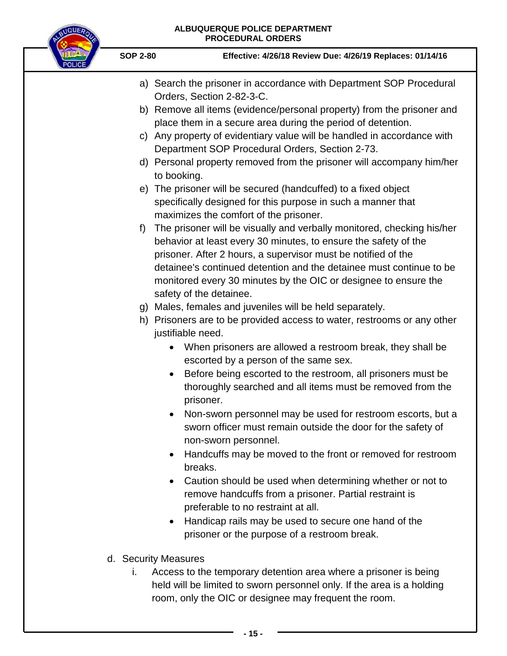

- a) Search the prisoner in accordance with Department SOP Procedural Orders, Section 2-82-3-C.
- b) Remove all items (evidence/personal property) from the prisoner and place them in a secure area during the period of detention.
- c) Any property of evidentiary value will be handled in accordance with Department SOP Procedural Orders, Section 2-73.
- d) Personal property removed from the prisoner will accompany him/her to booking.
- e) The prisoner will be secured (handcuffed) to a fixed object specifically designed for this purpose in such a manner that maximizes the comfort of the prisoner.
- f) The prisoner will be visually and verbally monitored, checking his/her behavior at least every 30 minutes, to ensure the safety of the prisoner. After 2 hours, a supervisor must be notified of the detainee's continued detention and the detainee must continue to be monitored every 30 minutes by the OIC or designee to ensure the safety of the detainee.
- g) Males, females and juveniles will be held separately.
- h) Prisoners are to be provided access to water, restrooms or any other justifiable need.
	- When prisoners are allowed a restroom break, they shall be escorted by a person of the same sex.
	- Before being escorted to the restroom, all prisoners must be thoroughly searched and all items must be removed from the prisoner.
	- Non-sworn personnel may be used for restroom escorts, but a sworn officer must remain outside the door for the safety of non-sworn personnel.
	- Handcuffs may be moved to the front or removed for restroom breaks.
	- Caution should be used when determining whether or not to remove handcuffs from a prisoner. Partial restraint is preferable to no restraint at all.
	- Handicap rails may be used to secure one hand of the prisoner or the purpose of a restroom break.
- d. Security Measures
	- i. Access to the temporary detention area where a prisoner is being held will be limited to sworn personnel only. If the area is a holding room, only the OIC or designee may frequent the room.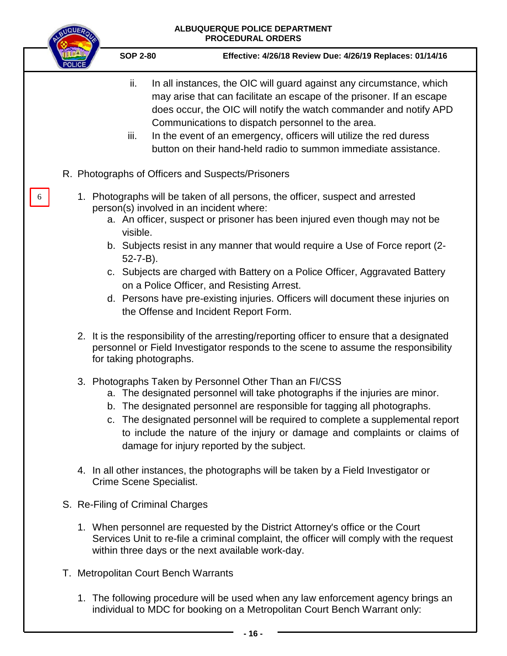|                                                                         | ALBUQUERQUE POLICE DEPARTMENT<br><b>PROCEDURAL ORDERS</b>                                                                                                                                                                                                                                                                                                                                                                                                                                               |
|-------------------------------------------------------------------------|---------------------------------------------------------------------------------------------------------------------------------------------------------------------------------------------------------------------------------------------------------------------------------------------------------------------------------------------------------------------------------------------------------------------------------------------------------------------------------------------------------|
| <b>SOP 2-80</b>                                                         | Effective: 4/26/18 Review Due: 4/26/19 Replaces: 01/14/16                                                                                                                                                                                                                                                                                                                                                                                                                                               |
| ii.<br>iii.                                                             | In all instances, the OIC will guard against any circumstance, which<br>may arise that can facilitate an escape of the prisoner. If an escape<br>does occur, the OIC will notify the watch commander and notify APD<br>Communications to dispatch personnel to the area.<br>In the event of an emergency, officers will utilize the red duress<br>button on their hand-held radio to summon immediate assistance.                                                                                       |
| R. Photographs of Officers and Suspects/Prisoners                       |                                                                                                                                                                                                                                                                                                                                                                                                                                                                                                         |
| person(s) involved in an incident where:<br>visible.<br>$52 - 7 - B$ ). | 1. Photographs will be taken of all persons, the officer, suspect and arrested<br>a. An officer, suspect or prisoner has been injured even though may not be<br>b. Subjects resist in any manner that would require a Use of Force report (2-<br>c. Subjects are charged with Battery on a Police Officer, Aggravated Battery<br>on a Police Officer, and Resisting Arrest.<br>d. Persons have pre-existing injuries. Officers will document these injuries on<br>the Offense and Incident Report Form. |
| for taking photographs.                                                 | 2. It is the responsibility of the arresting/reporting officer to ensure that a designated<br>personnel or Field Investigator responds to the scene to assume the responsibility                                                                                                                                                                                                                                                                                                                        |
|                                                                         | 3. Photographs Taken by Personnel Other Than an FI/CSS<br>a. The designated personnel will take photographs if the injuries are minor.<br>b. The designated personnel are responsible for tagging all photographs.<br>c. The designated personnel will be required to complete a supplemental report<br>to include the nature of the injury or damage and complaints or claims of<br>damage for injury reported by the subject.                                                                         |
| Crime Scene Specialist.                                                 | 4. In all other instances, the photographs will be taken by a Field Investigator or                                                                                                                                                                                                                                                                                                                                                                                                                     |
| S. Re-Filing of Criminal Charges                                        |                                                                                                                                                                                                                                                                                                                                                                                                                                                                                                         |
|                                                                         | 1. When personnel are requested by the District Attorney's office or the Court<br>Services Unit to re-file a criminal complaint, the officer will comply with the request<br>within three days or the next available work-day.                                                                                                                                                                                                                                                                          |
| T. Metropolitan Court Bench Warrants                                    |                                                                                                                                                                                                                                                                                                                                                                                                                                                                                                         |
|                                                                         | 1. The following procedure will be used when any law enforcement agency brings an<br>individual to MDC for booking on a Metropolitan Court Bench Warrant only:                                                                                                                                                                                                                                                                                                                                          |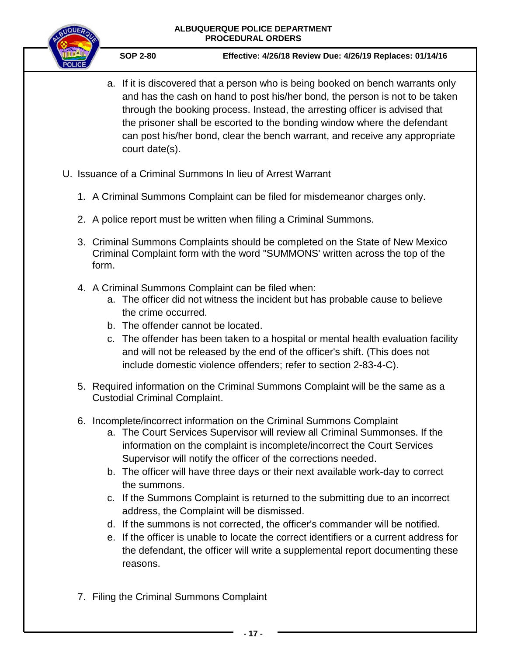

- a. If it is discovered that a person who is being booked on bench warrants only and has the cash on hand to post his/her bond, the person is not to be taken through the booking process. Instead, the arresting officer is advised that the prisoner shall be escorted to the bonding window where the defendant can post his/her bond, clear the bench warrant, and receive any appropriate court date(s).
- U. Issuance of a Criminal Summons In lieu of Arrest Warrant
	- 1. A Criminal Summons Complaint can be filed for misdemeanor charges only.
	- 2. A police report must be written when filing a Criminal Summons.
	- 3. Criminal Summons Complaints should be completed on the State of New Mexico Criminal Complaint form with the word "SUMMONS' written across the top of the form.
	- 4. A Criminal Summons Complaint can be filed when:
		- a. The officer did not witness the incident but has probable cause to believe the crime occurred.
		- b. The offender cannot be located.
		- c. The offender has been taken to a hospital or mental health evaluation facility and will not be released by the end of the officer's shift. (This does not include domestic violence offenders; refer to section 2-83-4-C).
	- 5. Required information on the Criminal Summons Complaint will be the same as a Custodial Criminal Complaint.
	- 6. Incomplete/incorrect information on the Criminal Summons Complaint
		- a. The Court Services Supervisor will review all Criminal Summonses. If the information on the complaint is incomplete/incorrect the Court Services Supervisor will notify the officer of the corrections needed.
		- b. The officer will have three days or their next available work-day to correct the summons.
		- c. If the Summons Complaint is returned to the submitting due to an incorrect address, the Complaint will be dismissed.
		- d. If the summons is not corrected, the officer's commander will be notified.
		- e. If the officer is unable to locate the correct identifiers or a current address for the defendant, the officer will write a supplemental report documenting these reasons.
	- 7. Filing the Criminal Summons Complaint